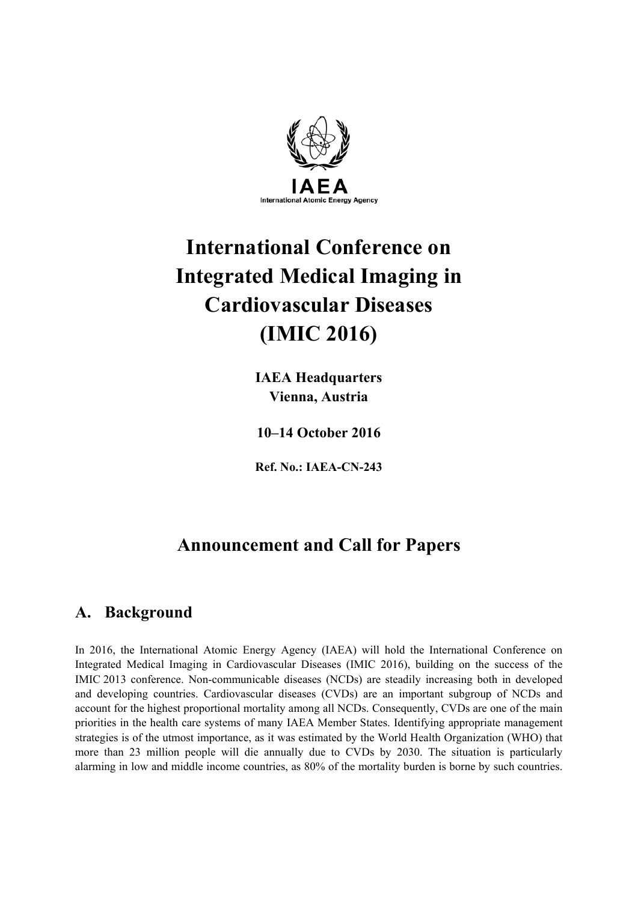

# **International Conference on Integrated Medical Imaging in Cardiovascular Diseases (IMIC 2016)**

**IAEA Headquarters Vienna, Austria** 

**10–14 October 2016** 

**Ref. No.: IAEA-CN-243** 

## **Announcement and Call for Papers**

## **A. Background**

In 2016, the International Atomic Energy Agency (IAEA) will hold the International Conference on Integrated Medical Imaging in Cardiovascular Diseases (IMIC 2016), building on the success of the IMIC 2013 conference. Non-communicable diseases (NCDs) are steadily increasing both in developed and developing countries. Cardiovascular diseases (CVDs) are an important subgroup of NCDs and account for the highest proportional mortality among all NCDs. Consequently, CVDs are one of the main priorities in the health care systems of many IAEA Member States. Identifying appropriate management strategies is of the utmost importance, as it was estimated by the World Health Organization (WHO) that more than 23 million people will die annually due to CVDs by 2030. The situation is particularly alarming in low and middle income countries, as 80% of the mortality burden is borne by such countries.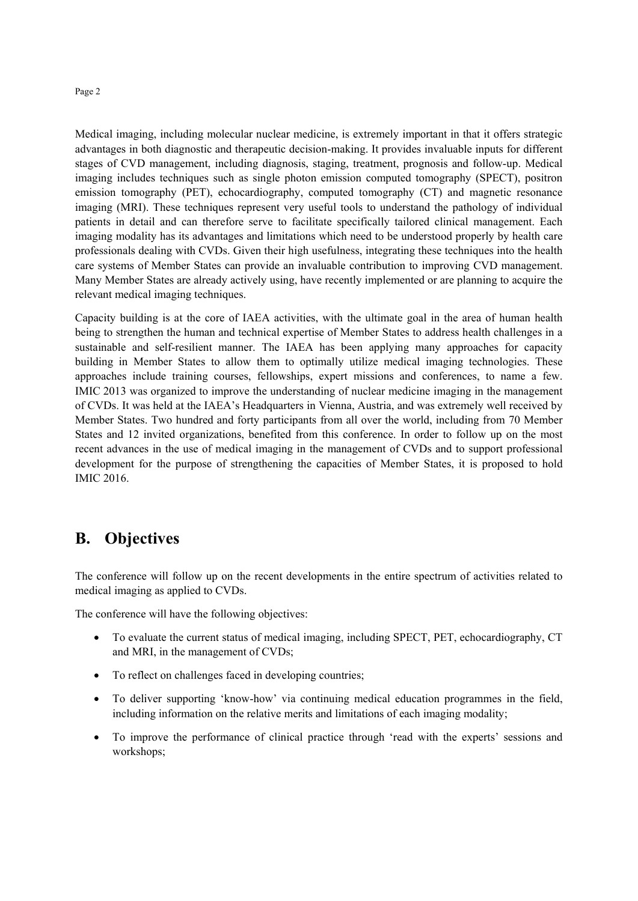#### Page 2

Medical imaging, including molecular nuclear medicine, is extremely important in that it offers strategic advantages in both diagnostic and therapeutic decision-making. It provides invaluable inputs for different stages of CVD management, including diagnosis, staging, treatment, prognosis and follow-up. Medical imaging includes techniques such as single photon emission computed tomography (SPECT), positron emission tomography (PET), echocardiography, computed tomography (CT) and magnetic resonance imaging (MRI). These techniques represent very useful tools to understand the pathology of individual patients in detail and can therefore serve to facilitate specifically tailored clinical management. Each imaging modality has its advantages and limitations which need to be understood properly by health care professionals dealing with CVDs. Given their high usefulness, integrating these techniques into the health care systems of Member States can provide an invaluable contribution to improving CVD management. Many Member States are already actively using, have recently implemented or are planning to acquire the relevant medical imaging techniques.

Capacity building is at the core of IAEA activities, with the ultimate goal in the area of human health being to strengthen the human and technical expertise of Member States to address health challenges in a sustainable and self-resilient manner. The IAEA has been applying many approaches for capacity building in Member States to allow them to optimally utilize medical imaging technologies. These approaches include training courses, fellowships, expert missions and conferences, to name a few. IMIC 2013 was organized to improve the understanding of nuclear medicine imaging in the management of CVDs. It was held at the IAEA's Headquarters in Vienna, Austria, and was extremely well received by Member States. Two hundred and forty participants from all over the world, including from 70 Member States and 12 invited organizations, benefited from this conference. In order to follow up on the most recent advances in the use of medical imaging in the management of CVDs and to support professional development for the purpose of strengthening the capacities of Member States, it is proposed to hold IMIC 2016.

### **B. Objectives**

The conference will follow up on the recent developments in the entire spectrum of activities related to medical imaging as applied to CVDs.

The conference will have the following objectives:

- To evaluate the current status of medical imaging, including SPECT, PET, echocardiography, CT and MRI, in the management of CVDs;
- To reflect on challenges faced in developing countries;
- To deliver supporting 'know-how' via continuing medical education programmes in the field, including information on the relative merits and limitations of each imaging modality;
- To improve the performance of clinical practice through 'read with the experts' sessions and workshops;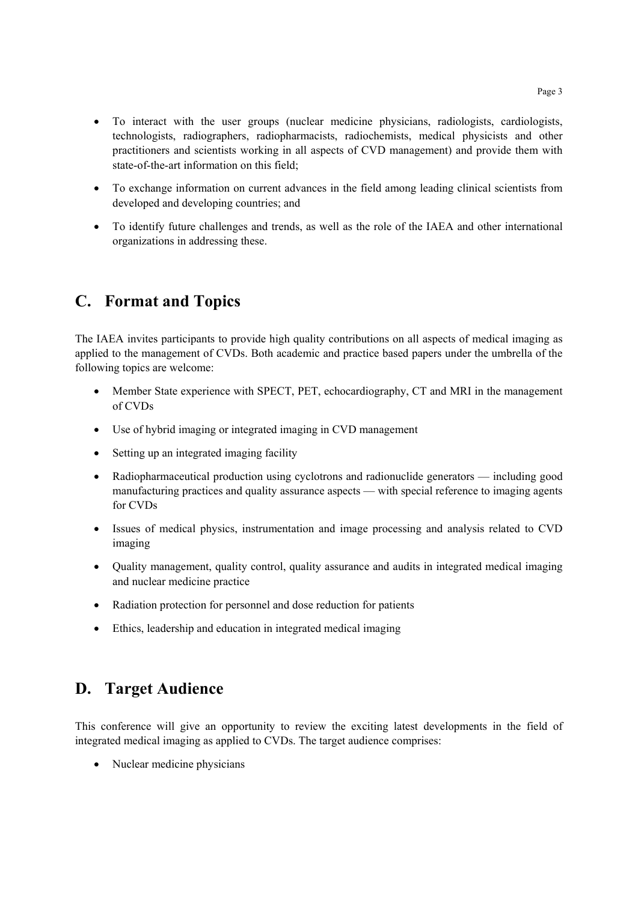- To interact with the user groups (nuclear medicine physicians, radiologists, cardiologists, technologists, radiographers, radiopharmacists, radiochemists, medical physicists and other practitioners and scientists working in all aspects of CVD management) and provide them with state-of-the-art information on this field;
- To exchange information on current advances in the field among leading clinical scientists from developed and developing countries; and
- To identify future challenges and trends, as well as the role of the IAEA and other international organizations in addressing these.

## **C. Format and Topics**

The IAEA invites participants to provide high quality contributions on all aspects of medical imaging as applied to the management of CVDs. Both academic and practice based papers under the umbrella of the following topics are welcome:

- Member State experience with SPECT, PET, echocardiography, CT and MRI in the management of CVDs
- Use of hybrid imaging or integrated imaging in CVD management
- Setting up an integrated imaging facility
- Radiopharmaceutical production using cyclotrons and radionuclide generators including good manufacturing practices and quality assurance aspects — with special reference to imaging agents for CVDs
- Issues of medical physics, instrumentation and image processing and analysis related to CVD imaging
- Quality management, quality control, quality assurance and audits in integrated medical imaging and nuclear medicine practice
- Radiation protection for personnel and dose reduction for patients
- Ethics, leadership and education in integrated medical imaging

## **D. Target Audience**

This conference will give an opportunity to review the exciting latest developments in the field of integrated medical imaging as applied to CVDs. The target audience comprises:

• Nuclear medicine physicians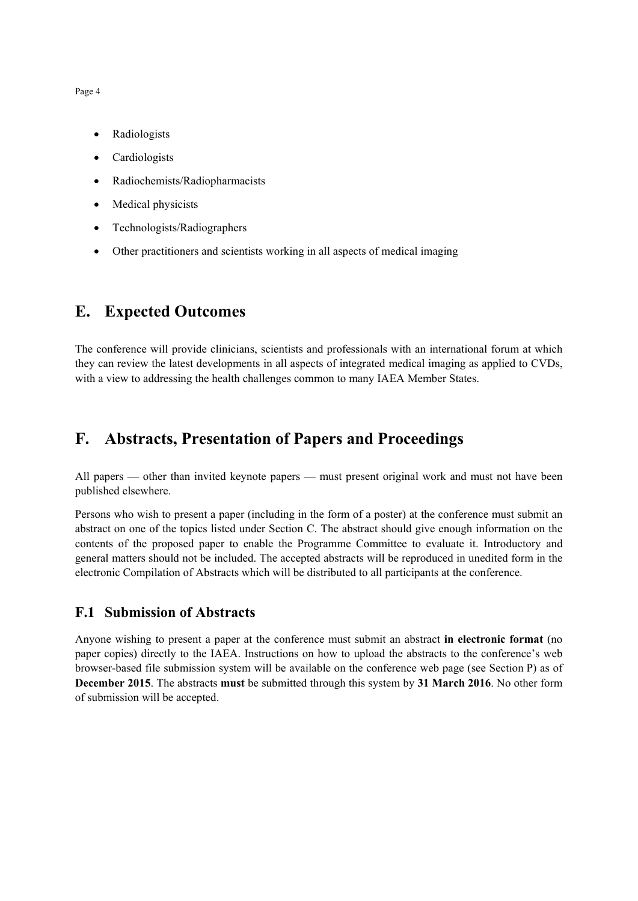Page 4

- Radiologists
- Cardiologists
- Radiochemists/Radiopharmacists
- Medical physicists
- Technologists/Radiographers
- Other practitioners and scientists working in all aspects of medical imaging

## **E. Expected Outcomes**

The conference will provide clinicians, scientists and professionals with an international forum at which they can review the latest developments in all aspects of integrated medical imaging as applied to CVDs, with a view to addressing the health challenges common to many IAEA Member States.

## **F. Abstracts, Presentation of Papers and Proceedings**

All papers — other than invited keynote papers — must present original work and must not have been published elsewhere.

Persons who wish to present a paper (including in the form of a poster) at the conference must submit an abstract on one of the topics listed under Section C. The abstract should give enough information on the contents of the proposed paper to enable the Programme Committee to evaluate it. Introductory and general matters should not be included. The accepted abstracts will be reproduced in unedited form in the electronic Compilation of Abstracts which will be distributed to all participants at the conference.

#### **F.1 Submission of Abstracts**

Anyone wishing to present a paper at the conference must submit an abstract **in electronic format** (no paper copies) directly to the IAEA. Instructions on how to upload the abstracts to the conference's web browser-based file submission system will be available on the conference web page (see Section P) as of **December 2015**. The abstracts **must** be submitted through this system by **31 March 2016**. No other form of submission will be accepted.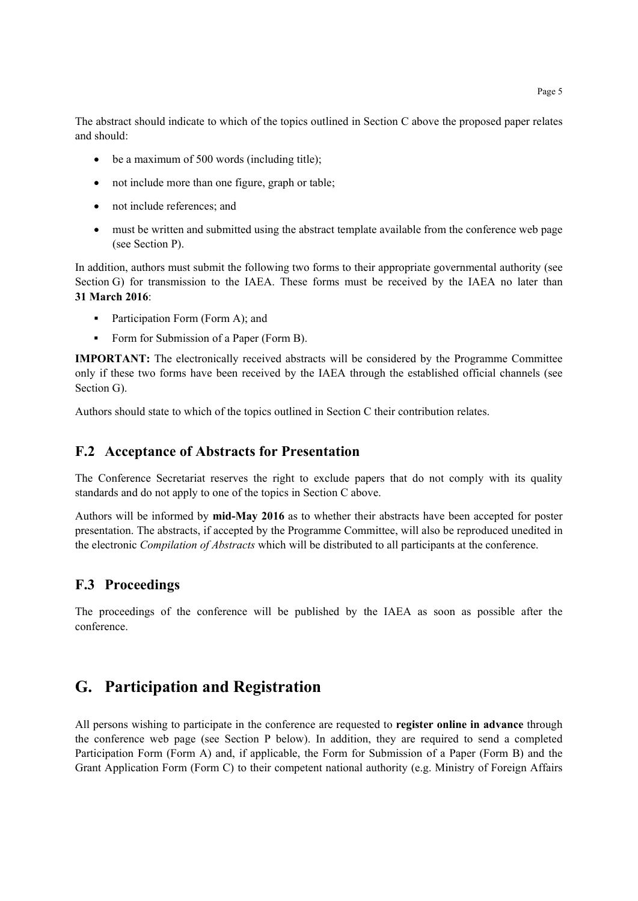The abstract should indicate to which of the topics outlined in Section C above the proposed paper relates and should:

- $\bullet$  be a maximum of 500 words (including title);
- not include more than one figure, graph or table;
- not include references; and
- must be written and submitted using the abstract template available from the conference web page (see Section P).

In addition, authors must submit the following two forms to their appropriate governmental authority (see Section G) for transmission to the IAEA. These forms must be received by the IAEA no later than **31 March 2016**:

- Participation Form (Form A); and
- Form for Submission of a Paper (Form B).

**IMPORTANT:** The electronically received abstracts will be considered by the Programme Committee only if these two forms have been received by the IAEA through the established official channels (see Section G).

Authors should state to which of the topics outlined in Section C their contribution relates.

#### **F.2 Acceptance of Abstracts for Presentation**

The Conference Secretariat reserves the right to exclude papers that do not comply with its quality standards and do not apply to one of the topics in Section C above.

Authors will be informed by **mid-May 2016** as to whether their abstracts have been accepted for poster presentation. The abstracts, if accepted by the Programme Committee, will also be reproduced unedited in the electronic *Compilation of Abstracts* which will be distributed to all participants at the conference.

#### **F.3 Proceedings**

The proceedings of the conference will be published by the IAEA as soon as possible after the conference.

## **G. Participation and Registration**

All persons wishing to participate in the conference are requested to **register online in advance** through the conference web page (see Section P below). In addition, they are required to send a completed Participation Form (Form A) and, if applicable, the Form for Submission of a Paper (Form B) and the Grant Application Form (Form C) to their competent national authority (e.g. Ministry of Foreign Affairs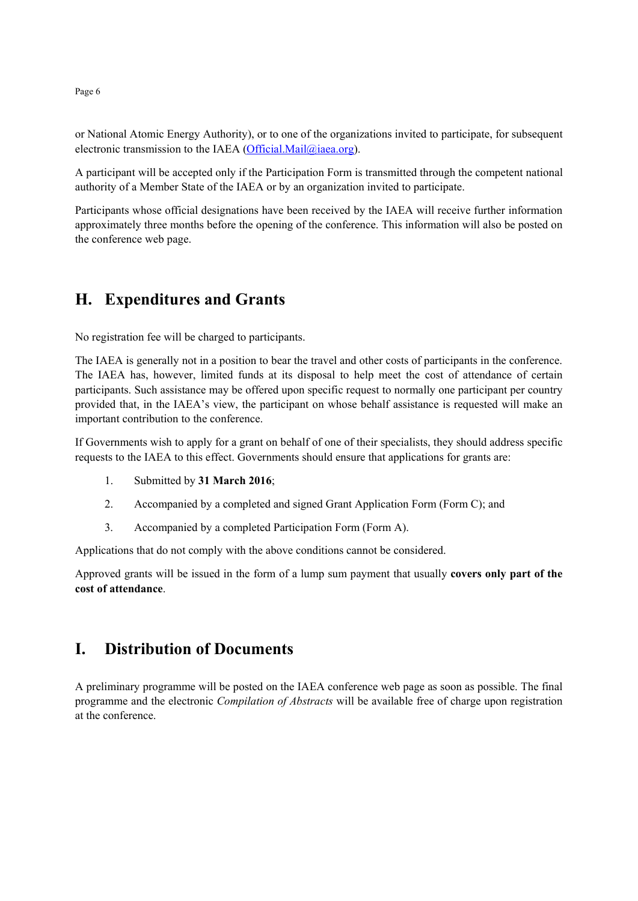or National Atomic Energy Authority), or to one of the organizations invited to participate, for subsequent electronic transmission to the IAEA (Official.Mail@iaea.org).

A participant will be accepted only if the Participation Form is transmitted through the competent national authority of a Member State of the IAEA or by an organization invited to participate.

Participants whose official designations have been received by the IAEA will receive further information approximately three months before the opening of the conference. This information will also be posted on the conference web page.

## **H. Expenditures and Grants**

No registration fee will be charged to participants.

The IAEA is generally not in a position to bear the travel and other costs of participants in the conference. The IAEA has, however, limited funds at its disposal to help meet the cost of attendance of certain participants. Such assistance may be offered upon specific request to normally one participant per country provided that, in the IAEA's view, the participant on whose behalf assistance is requested will make an important contribution to the conference.

If Governments wish to apply for a grant on behalf of one of their specialists, they should address specific requests to the IAEA to this effect. Governments should ensure that applications for grants are:

- 1. Submitted by **31 March 2016**;
- 2. Accompanied by a completed and signed Grant Application Form (Form C); and
- 3. Accompanied by a completed Participation Form (Form A).

Applications that do not comply with the above conditions cannot be considered.

Approved grants will be issued in the form of a lump sum payment that usually **covers only part of the cost of attendance**.

## **I. Distribution of Documents**

A preliminary programme will be posted on the IAEA conference web page as soon as possible. The final programme and the electronic *Compilation of Abstracts* will be available free of charge upon registration at the conference.

Page 6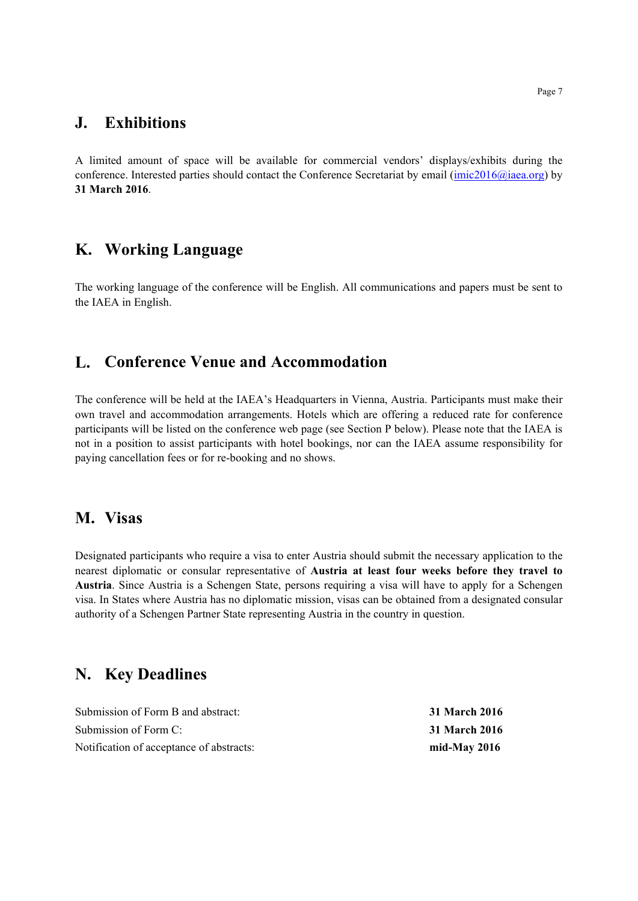### **J. Exhibitions**

A limited amount of space will be available for commercial vendors' displays/exhibits during the conference. Interested parties should contact the Conference Secretariat by email (imic2016@iaea.org) by **31 March 2016**.

### **K. Working Language**

The working language of the conference will be English. All communications and papers must be sent to the IAEA in English.

### **L. Conference Venue and Accommodation**

The conference will be held at the IAEA's Headquarters in Vienna, Austria. Participants must make their own travel and accommodation arrangements. Hotels which are offering a reduced rate for conference participants will be listed on the conference web page (see Section P below). Please note that the IAEA is not in a position to assist participants with hotel bookings, nor can the IAEA assume responsibility for paying cancellation fees or for re-booking and no shows.

#### **M. Visas**

Designated participants who require a visa to enter Austria should submit the necessary application to the nearest diplomatic or consular representative of **Austria at least four weeks before they travel to Austria**. Since Austria is a Schengen State, persons requiring a visa will have to apply for a Schengen visa. In States where Austria has no diplomatic mission, visas can be obtained from a designated consular authority of a Schengen Partner State representing Austria in the country in question.

### **N. Key Deadlines**

| Submission of Form B and abstract:       | 31 March 2016  |
|------------------------------------------|----------------|
| Submission of Form C:                    | 31 March 2016  |
| Notification of acceptance of abstracts: | mid-May $2016$ |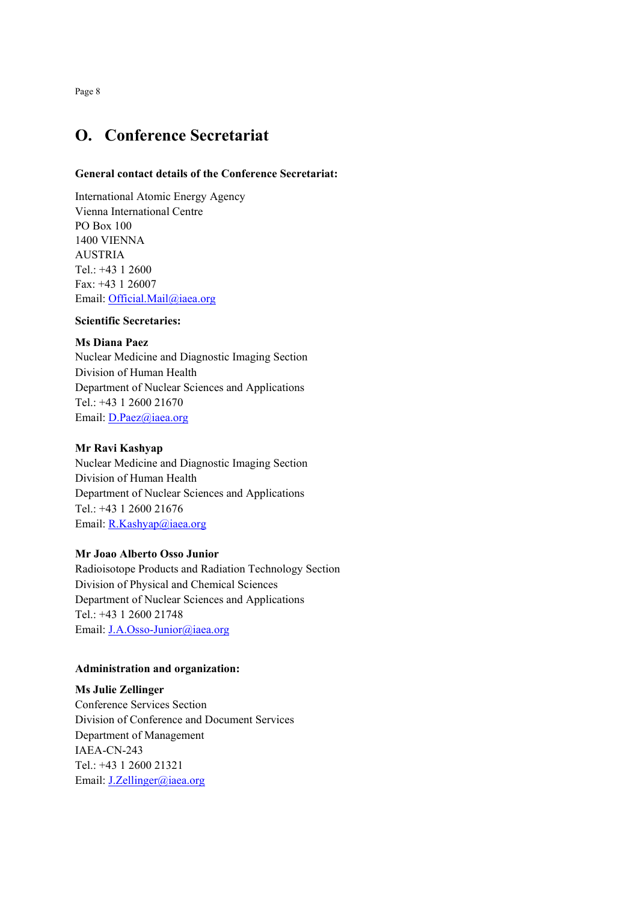## **O. Conference Secretariat**

#### **General contact details of the Conference Secretariat:**

International Atomic Energy Agency Vienna International Centre PO Box 100 1400 VIENNA AUSTRIA Tel.: +43 1 2600 Fax: +43 1 26007 Email: Official.Mail@iaea.org

#### **Scientific Secretaries:**

#### **Ms Diana Paez**

Nuclear Medicine and Diagnostic Imaging Section Division of Human Health Department of Nuclear Sciences and Applications Tel.: +43 1 2600 21670 Email: D.Paez@iaea.org

#### **Mr Ravi Kashyap**

Nuclear Medicine and Diagnostic Imaging Section Division of Human Health Department of Nuclear Sciences and Applications Tel.: +43 1 2600 21676 Email: R.Kashyap@iaea.org

#### **Mr Joao Alberto Osso Junior**

Radioisotope Products and Radiation Technology Section Division of Physical and Chemical Sciences Department of Nuclear Sciences and Applications Tel.: +43 1 2600 21748 Email: J.A.Osso-Junior@iaea.org

#### **Administration and organization:**

#### **Ms Julie Zellinger**

Conference Services Section Division of Conference and Document Services Department of Management IAEA-CN-243 Tel.: +43 1 2600 21321 Email: **J.Zellinger@iaea.org** 

Page 8